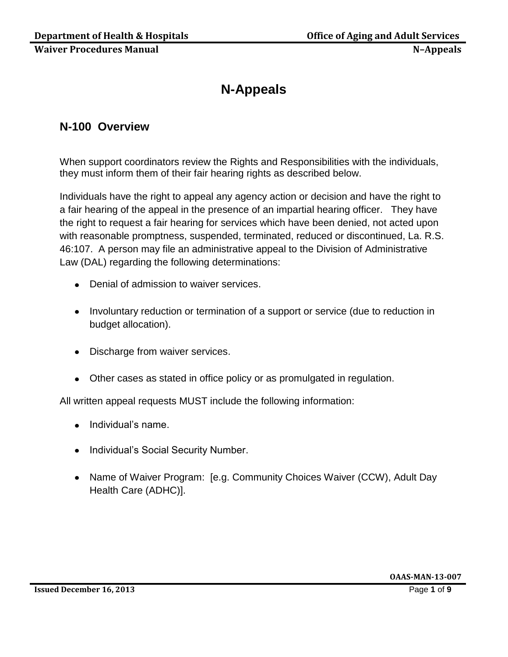# **N-Appeals**

# **N-100 Overview**

When support coordinators review the Rights and Responsibilities with the individuals, they must inform them of their fair hearing rights as described below.

Individuals have the right to appeal any agency action or decision and have the right to a fair hearing of the appeal in the presence of an impartial hearing officer. They have the right to request a fair hearing for services which have been denied, not acted upon with reasonable promptness, suspended, terminated, reduced or discontinued, La. R.S. 46:107. A person may file an administrative appeal to the Division of Administrative Law (DAL) regarding the following determinations:

- Denial of admission to waiver services.
- Involuntary reduction or termination of a support or service (due to reduction in budget allocation).
- Discharge from waiver services.
- Other cases as stated in office policy or as promulgated in regulation.

All written appeal requests MUST include the following information:

- Individual's name.
- Individual's Social Security Number.
- Name of Waiver Program: [e.g. Community Choices Waiver (CCW), Adult Day Health Care (ADHC)].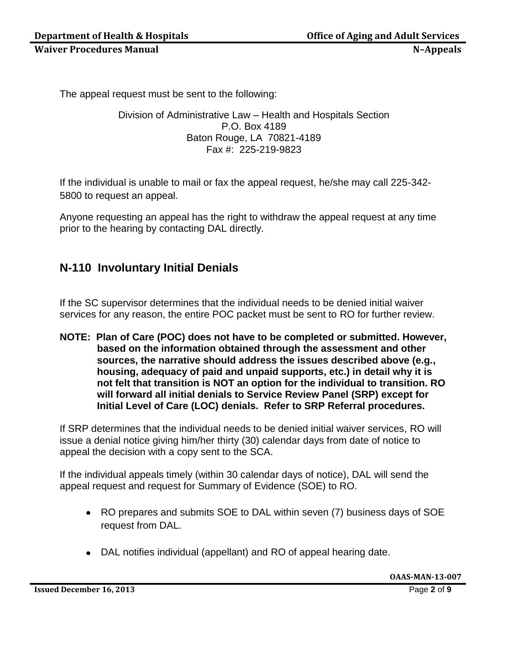The appeal request must be sent to the following:

Division of Administrative Law – Health and Hospitals Section P.O. Box 4189 Baton Rouge, LA 70821-4189 Fax #: 225-219-9823

If the individual is unable to mail or fax the appeal request, he/she may call 225-342- 5800 to request an appeal.

Anyone requesting an appeal has the right to withdraw the appeal request at any time prior to the hearing by contacting DAL directly.

# **N-110 Involuntary Initial Denials**

If the SC supervisor determines that the individual needs to be denied initial waiver services for any reason, the entire POC packet must be sent to RO for further review.

**NOTE: Plan of Care (POC) does not have to be completed or submitted. However, based on the information obtained through the assessment and other sources, the narrative should address the issues described above (e.g., housing, adequacy of paid and unpaid supports, etc.) in detail why it is not felt that transition is NOT an option for the individual to transition. RO will forward all initial denials to Service Review Panel (SRP) except for Initial Level of Care (LOC) denials. Refer to SRP Referral procedures.** 

If SRP determines that the individual needs to be denied initial waiver services, RO will issue a denial notice giving him/her thirty (30) calendar days from date of notice to appeal the decision with a copy sent to the SCA.

If the individual appeals timely (within 30 calendar days of notice), DAL will send the appeal request and request for Summary of Evidence (SOE) to RO.

- RO prepares and submits SOE to DAL within seven (7) business days of SOE request from DAL.
- DAL notifies individual (appellant) and RO of appeal hearing date.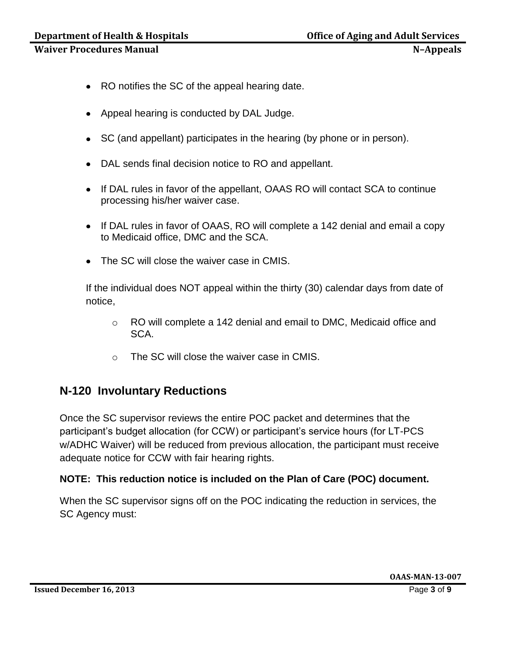- RO notifies the SC of the appeal hearing date.
- Appeal hearing is conducted by DAL Judge.
- SC (and appellant) participates in the hearing (by phone or in person).
- DAL sends final decision notice to RO and appellant.
- If DAL rules in favor of the appellant, OAAS RO will contact SCA to continue processing his/her waiver case.
- If DAL rules in favor of OAAS, RO will complete a 142 denial and email a copy to Medicaid office, DMC and the SCA.
- The SC will close the waiver case in CMIS.

If the individual does NOT appeal within the thirty (30) calendar days from date of notice,

- o RO will complete a 142 denial and email to DMC, Medicaid office and SCA.
- o The SC will close the waiver case in CMIS.

## **N-120 Involuntary Reductions**

Once the SC supervisor reviews the entire POC packet and determines that the participant's budget allocation (for CCW) or participant's service hours (for LT-PCS w/ADHC Waiver) will be reduced from previous allocation, the participant must receive adequate notice for CCW with fair hearing rights.

#### **NOTE: This reduction notice is included on the Plan of Care (POC) document.**

When the SC supervisor signs off on the POC indicating the reduction in services, the SC Agency must: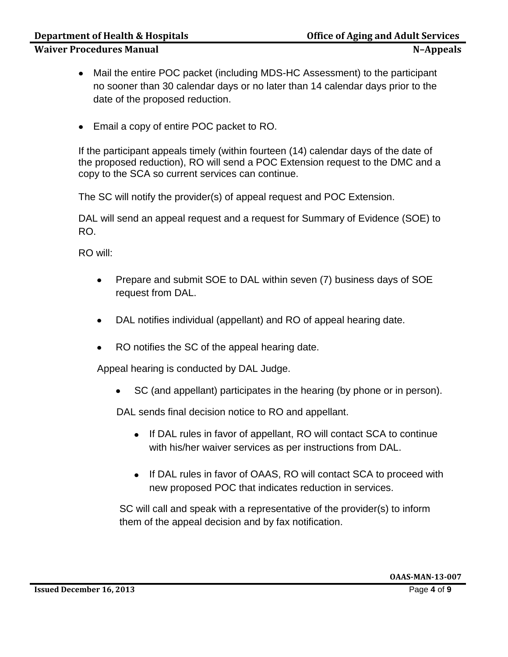#### **Department of Health & Hospitals Community Community Community Community Property Community Community Property**

#### **Waiver Procedures Manual N**

- Mail the entire POC packet (including MDS-HC Assessment) to the participant no sooner than 30 calendar days or no later than 14 calendar days prior to the date of the proposed reduction.
- Email a copy of entire POC packet to RO.

If the participant appeals timely (within fourteen (14) calendar days of the date of the proposed reduction), RO will send a POC Extension request to the DMC and a copy to the SCA so current services can continue.

The SC will notify the provider(s) of appeal request and POC Extension.

DAL will send an appeal request and a request for Summary of Evidence (SOE) to RO.

RO will:

- Prepare and submit SOE to DAL within seven (7) business days of SOE  $\bullet$ request from DAL.
- DAL notifies individual (appellant) and RO of appeal hearing date.  $\bullet$
- RO notifies the SC of the appeal hearing date.

Appeal hearing is conducted by DAL Judge.

SC (and appellant) participates in the hearing (by phone or in person).

DAL sends final decision notice to RO and appellant.

- If DAL rules in favor of appellant, RO will contact SCA to continue with his/her waiver services as per instructions from DAL.
- If DAL rules in favor of OAAS, RO will contact SCA to proceed with new proposed POC that indicates reduction in services.

SC will call and speak with a representative of the provider(s) to inform them of the appeal decision and by fax notification.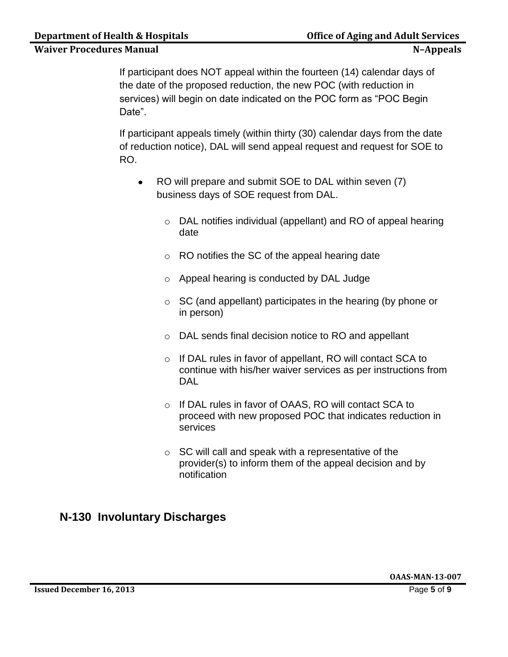If participant does NOT appeal within the fourteen (14) calendar days of the date of the proposed reduction, the new POC (with reduction in services) will begin on date indicated on the POC form as "POC Begin Date".

If participant appeals timely (within thirty (30) calendar days from the date of reduction notice), DAL will send appeal request and request for SOE to RO.

- RO will prepare and submit SOE to DAL within seven (7)  $\bullet$ business days of SOE request from DAL.
	- o DAL notifies individual (appellant) and RO of appeal hearing date
	- o RO notifies the SC of the appeal hearing date
	- o Appeal hearing is conducted by DAL Judge
	- o SC (and appellant) participates in the hearing (by phone or in person)
	- o DAL sends final decision notice to RO and appellant
	- o If DAL rules in favor of appellant, RO will contact SCA to continue with his/her waiver services as per instructions from DAL
	- o If DAL rules in favor of OAAS, RO will contact SCA to proceed with new proposed POC that indicates reduction in services
	- $\circ$  SC will call and speak with a representative of the provider(s) to inform them of the appeal decision and by notification

# **N-130 Involuntary Discharges**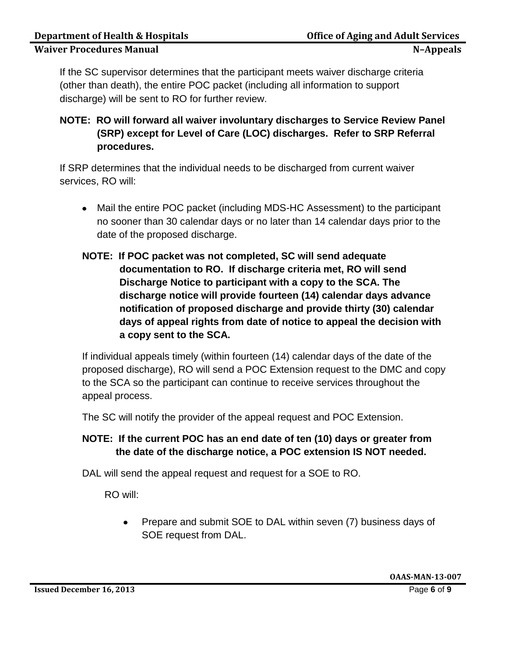If the SC supervisor determines that the participant meets waiver discharge criteria (other than death), the entire POC packet (including all information to support discharge) will be sent to RO for further review.

## **NOTE: RO will forward all waiver involuntary discharges to Service Review Panel (SRP) except for Level of Care (LOC) discharges. Refer to SRP Referral procedures.**

If SRP determines that the individual needs to be discharged from current waiver services, RO will:

- Mail the entire POC packet (including MDS-HC Assessment) to the participant no sooner than 30 calendar days or no later than 14 calendar days prior to the date of the proposed discharge.
- **NOTE: If POC packet was not completed, SC will send adequate documentation to RO. If discharge criteria met, RO will send Discharge Notice to participant with a copy to the SCA. The discharge notice will provide fourteen (14) calendar days advance notification of proposed discharge and provide thirty (30) calendar days of appeal rights from date of notice to appeal the decision with a copy sent to the SCA.**

If individual appeals timely (within fourteen (14) calendar days of the date of the proposed discharge), RO will send a POC Extension request to the DMC and copy to the SCA so the participant can continue to receive services throughout the appeal process.

The SC will notify the provider of the appeal request and POC Extension.

#### **NOTE: If the current POC has an end date of ten (10) days or greater from the date of the discharge notice, a POC extension IS NOT needed.**

DAL will send the appeal request and request for a SOE to RO.

RO will:

Prepare and submit SOE to DAL within seven (7) business days of  $\bullet$ SOE request from DAL.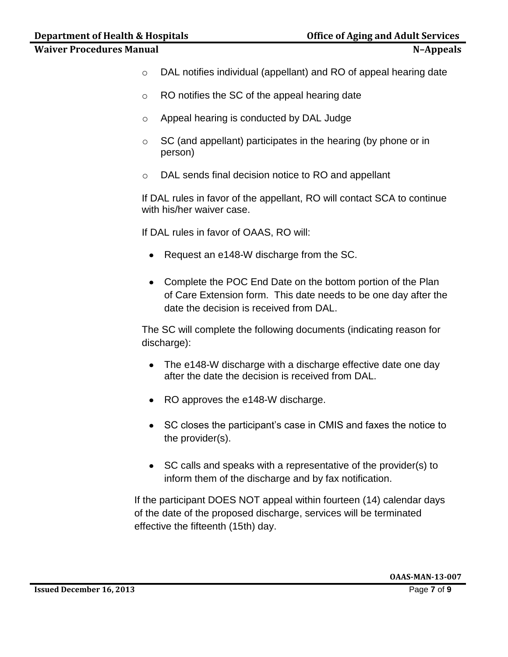- o DAL notifies individual (appellant) and RO of appeal hearing date
- o RO notifies the SC of the appeal hearing date
- o Appeal hearing is conducted by DAL Judge
- $\circ$  SC (and appellant) participates in the hearing (by phone or in person)
- o DAL sends final decision notice to RO and appellant

If DAL rules in favor of the appellant, RO will contact SCA to continue with his/her waiver case.

If DAL rules in favor of OAAS, RO will:

- Request an e148-W discharge from the SC.
- Complete the POC End Date on the bottom portion of the Plan of Care Extension form. This date needs to be one day after the date the decision is received from DAL.

The SC will complete the following documents (indicating reason for discharge):

- The e148-W discharge with a discharge effective date one day after the date the decision is received from DAL.
- RO approves the e148-W discharge.
- SC closes the participant's case in CMIS and faxes the notice to the provider(s).
- SC calls and speaks with a representative of the provider(s) to inform them of the discharge and by fax notification.

If the participant DOES NOT appeal within fourteen (14) calendar days of the date of the proposed discharge, services will be terminated effective the fifteenth (15th) day.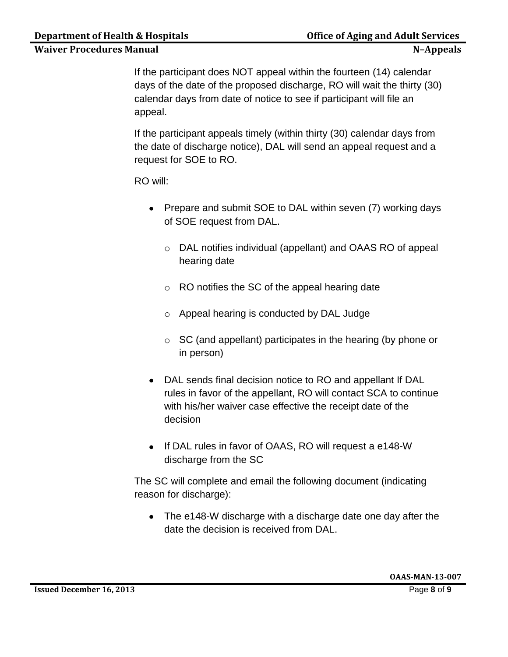If the participant does NOT appeal within the fourteen (14) calendar days of the date of the proposed discharge, RO will wait the thirty (30) calendar days from date of notice to see if participant will file an appeal.

If the participant appeals timely (within thirty (30) calendar days from the date of discharge notice), DAL will send an appeal request and a request for SOE to RO.

RO will:

- Prepare and submit SOE to DAL within seven (7) working days of SOE request from DAL.
	- o DAL notifies individual (appellant) and OAAS RO of appeal hearing date
	- o RO notifies the SC of the appeal hearing date
	- o Appeal hearing is conducted by DAL Judge
	- $\circ$  SC (and appellant) participates in the hearing (by phone or in person)
- DAL sends final decision notice to RO and appellant If DAL rules in favor of the appellant, RO will contact SCA to continue with his/her waiver case effective the receipt date of the decision
- If DAL rules in favor of OAAS, RO will request a e148-W discharge from the SC

The SC will complete and email the following document (indicating reason for discharge):

• The e148-W discharge with a discharge date one day after the date the decision is received from DAL.